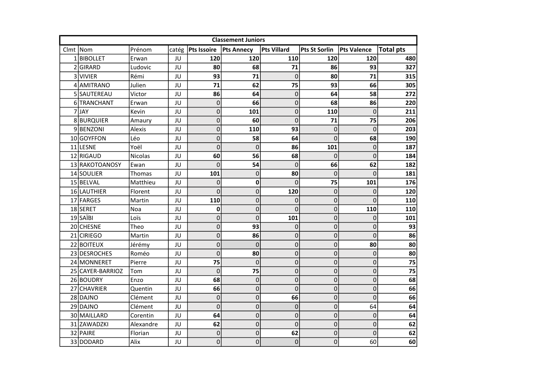|          | <b>Classement Juniors</b> |                |       |                    |                   |             |                      |                    |                  |  |  |  |
|----------|---------------------------|----------------|-------|--------------------|-------------------|-------------|----------------------|--------------------|------------------|--|--|--|
| Clmt Nom |                           | Prénom         | catég | <b>Pts Issoire</b> | <b>Pts Annecy</b> | Pts Villard | <b>Pts St Sorlin</b> | <b>Pts Valence</b> | <b>Total pts</b> |  |  |  |
|          | 1BIBOLLET                 | Erwan          | JU    | 120                | 120               | 110         | 120                  | 120                | 480              |  |  |  |
|          | 2GIRARD                   | Ludovic        | JU    | 80                 | 68                | 71          | 86                   | 93                 | 327              |  |  |  |
|          | 3 VIVIER                  | Rémi           | JU    | 93                 | 71                | $\mathbf 0$ | 80                   | 71                 | 315              |  |  |  |
|          | 4 AMITRANO                | Julien         | JU    | 71                 | 62                | 75          | 93                   | 66                 | 305              |  |  |  |
|          | 5 SAUTEREAU               | Victor         | JU    | 86                 | 64                | $\mathbf 0$ | 64                   | 58                 | 272              |  |  |  |
|          | 6 TRANCHANT               | Erwan          | JU    | $\overline{0}$     | 66                | $\mathbf 0$ | 68                   | 86                 | 220              |  |  |  |
|          | 7JAY                      | Kevin          | JU    | 0                  | 101               | $\mathbf 0$ | 110                  | $\mathbf 0$        | 211              |  |  |  |
|          | 8BURQUIER                 | Amaury         | JU    | 0                  | 60                | $\Omega$    | 71                   | 75                 | 206              |  |  |  |
|          | 9BENZONI                  | Alexis         | JU    | 0                  | 110               | 93          | 0                    | $\mathbf 0$        | 203              |  |  |  |
|          | 10 GOYFFON                | Léo            | JU    | $\overline{0}$     | 58                | 64          | $\mathbf 0$          | 68                 | 190              |  |  |  |
|          | 11 LESNE                  | Yoël           | JU    | 0                  | $\mathbf 0$       | 86          | 101                  | $\mathbf 0$        | 187              |  |  |  |
|          | 12 RIGAUD                 | <b>Nicolas</b> | JU    | 60                 | 56                | 68          | $\Omega$             | $\mathbf 0$        | 184              |  |  |  |
|          | 13 RAKOTOANOSY            | Ewan           | JU    | $\Omega$           | 54                | $\Omega$    | 66                   | 62                 | 182              |  |  |  |
|          | 14 SOULIER                | <b>Thomas</b>  | JU    | 101                | 0                 | 80          | 0                    | $\mathbf 0$        | 181              |  |  |  |
|          | 15 BELVAL                 | Matthieu       | JU    | $\Omega$           | $\mathbf 0$       | $\Omega$    | 75                   | 101                | 176              |  |  |  |
|          | 16 LAUTHIER               | Florent        | JU    | $\Omega$           | $\mathbf{0}$      | 120         | 0                    | $\Omega$           | 120              |  |  |  |
|          | 17 FARGES                 | Martin         | JU    | 110                | $\overline{0}$    | $\mathbf 0$ | 0                    | $\Omega$           | 110              |  |  |  |
|          | 18 SERET                  | Noa            | JU    | 0                  | 0                 | 0           | 0                    | 110                | 110              |  |  |  |
|          | 19 SAÏBI                  | Loïs           | JU    | 0                  | $\overline{0}$    | 101         | 0                    | $\Omega$           | 101              |  |  |  |
|          | 20 CHESNE                 | Theo           | JU    | 0                  | 93                | $\mathbf 0$ | $\pmb{0}$            | 0                  | 93               |  |  |  |
|          | 21 CIRIEGO                | Martin         | JU    | $\overline{0}$     | 86                | $\mathbf 0$ | 0                    | $\mathbf 0$        | 86               |  |  |  |
|          | 22 BOITEUX                | Jérémy         | JU    | 0                  | 0                 | $\mathbf 0$ | 0                    | 80                 | 80               |  |  |  |
|          | 23 DESROCHES              | Roméo          | JU    | $\overline{0}$     | 80                | $\pmb{0}$   | $\mathbf 0$          | $\mathbf 0$        | 80               |  |  |  |
|          | 24 MONNERET               | Pierre         | JU    | 75                 | $\mathbf 0$       | $\mathbf 0$ | 0                    | $\mathbf 0$        | 75               |  |  |  |
|          | 25 CAYER-BARRIOZ          | Tom            | JU    | $\overline{0}$     | 75                | $\mathbf 0$ | 0                    | $\mathbf 0$        | 75               |  |  |  |
|          | 26 BOUDRY                 | Enzo           | JU    | 68                 | $\mathbf{0}$      | $\mathbf 0$ | $\pmb{0}$            | $\mathbf 0$        | 68               |  |  |  |
|          | 27 CHAVRIER               | Quentin        | JU    | 66                 | $\overline{0}$    | $\mathbf 0$ | 0                    | $\mathbf 0$        | 66               |  |  |  |
|          | 28 DAJNO                  | Clément        | JU    | $\mathbf 0$        | $\mathbf 0$       | 66          | $\mathbf 0$          | $\mathbf 0$        | 66               |  |  |  |
|          | 29 DAJNO                  | Clément        | JU    | $\mathbf 0$        | $\overline{0}$    | 0           | $\mathbf 0$          | 64                 | 64               |  |  |  |
|          | 30 MAILLARD               | Corentin       | JU    | 64                 | 0                 | 0           | 0                    | $\mathbf 0$        | 64               |  |  |  |
|          | 31 ZAWADZKI               | Alexandre      | JU    | 62                 | 0                 | $\mathbf 0$ | 0                    | $\mathbf 0$        | 62               |  |  |  |
|          | 32 PAIRE                  | Florian        | JU    | $\overline{0}$     | $\mathbf 0$       | 62          | 0                    | $\Omega$           | 62               |  |  |  |
|          | 33 DODARD                 | Alix           | JU    | 0                  | 0                 | $\pmb{0}$   | 0                    | 60                 | 60               |  |  |  |